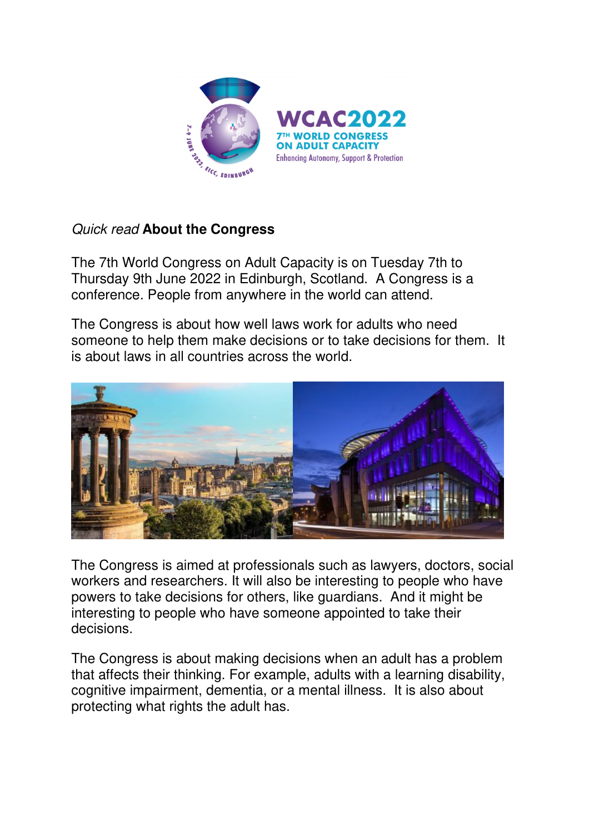

## Quick read **About the Congress**

The 7th World Congress on Adult Capacity is on Tuesday 7th to Thursday 9th June 2022 in Edinburgh, Scotland. A Congress is a conference. People from anywhere in the world can attend.

The Congress is about how well laws work for adults who need someone to help them make decisions or to take decisions for them. It is about laws in all countries across the world.



The Congress is aimed at professionals such as lawyers, doctors, social workers and researchers. It will also be interesting to people who have powers to take decisions for others, like guardians. And it might be interesting to people who have someone appointed to take their decisions.

The Congress is about making decisions when an adult has a problem that affects their thinking. For example, adults with a learning disability, cognitive impairment, dementia, or a mental illness. It is also about protecting what rights the adult has.